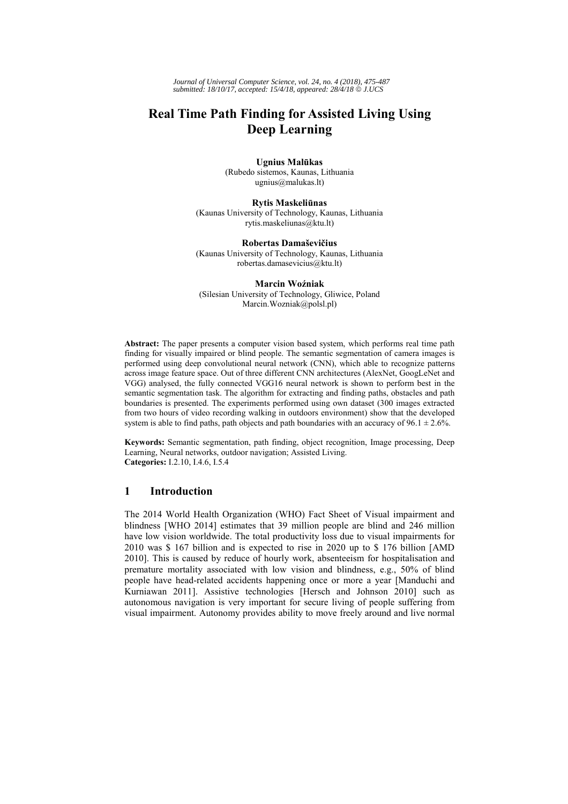*Journal of Universal Computer Science, vol. 24, no. 4 (2018), 475-487 submitted: 18/10/17, accepted: 15/4/18, appeared: 28/4/18* © *J.UCS*

# **Real Time Path Finding for Assisted Living Using Deep Learning**

**Ugnius Malūkas**  (Rubedo sistemos, Kaunas, Lithuania ugnius@malukas.lt)

**Rytis Maskeliūnas**  (Kaunas University of Technology, Kaunas, Lithuania rytis.maskeliunas@ktu.lt)

**Robertas Damaševičius** (Kaunas University of Technology, Kaunas, Lithuania robertas.damasevicius@ktu.lt)

**Marcin Woźniak** (Silesian University of Technology, Gliwice, Poland Marcin.Wozniak@polsl.pl)

**Abstract:** The paper presents a computer vision based system, which performs real time path finding for visually impaired or blind people. The semantic segmentation of camera images is performed using deep convolutional neural network (CNN), which able to recognize patterns across image feature space. Out of three different CNN architectures (AlexNet, GoogLeNet and VGG) analysed, the fully connected VGG16 neural network is shown to perform best in the semantic segmentation task. The algorithm for extracting and finding paths, obstacles and path boundaries is presented. The experiments performed using own dataset (300 images extracted from two hours of video recording walking in outdoors environment) show that the developed system is able to find paths, path objects and path boundaries with an accuracy of 96.1  $\pm$  2.6%.

**Keywords:** Semantic segmentation, path finding, object recognition, Image processing, Deep Learning, Neural networks, outdoor navigation; Assisted Living. **Categories:** I.2.10, I.4.6, I.5.4

## **1 Introduction**

The 2014 World Health Organization (WHO) Fact Sheet of Visual impairment and blindness [WHO 2014] estimates that 39 million people are blind and 246 million have low vision worldwide. The total productivity loss due to visual impairments for 2010 was \$ 167 billion and is expected to rise in 2020 up to \$ 176 billion [AMD 2010]. This is caused by reduce of hourly work, absenteeism for hospitalisation and premature mortality associated with low vision and blindness, e.g., 50% of blind people have head-related accidents happening once or more a year [Manduchi and Kurniawan 2011]. Assistive technologies [Hersch and Johnson 2010] such as autonomous navigation is very important for secure living of people suffering from visual impairment. Autonomy provides ability to move freely around and live normal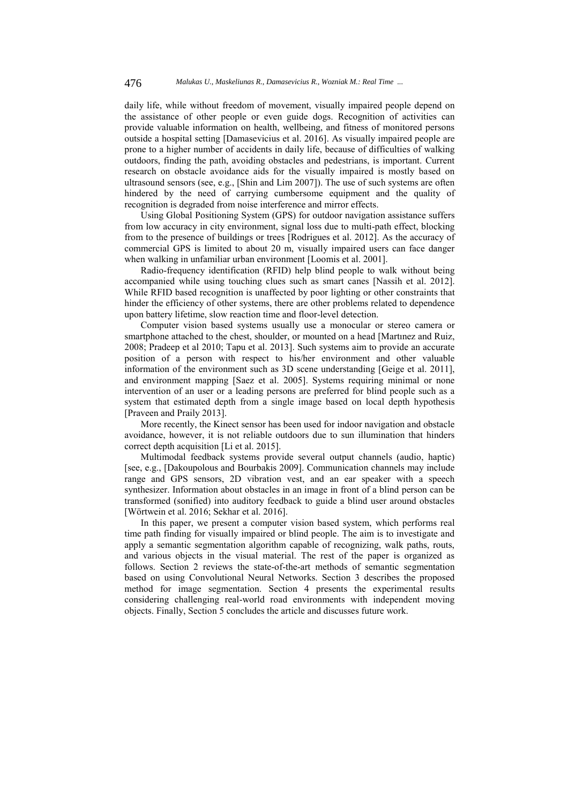daily life, while without freedom of movement, visually impaired people depend on the assistance of other people or even guide dogs. Recognition of activities can provide valuable information on health, wellbeing, and fitness of monitored persons outside a hospital setting [Damasevicius et al. 2016]. As visually impaired people are prone to a higher number of accidents in daily life, because of difficulties of walking outdoors, finding the path, avoiding obstacles and pedestrians, is important. Current research on obstacle avoidance aids for the visually impaired is mostly based on ultrasound sensors (see, e.g., [Shin and Lim 2007]). The use of such systems are often hindered by the need of carrying cumbersome equipment and the quality of recognition is degraded from noise interference and mirror effects.

Using Global Positioning System (GPS) for outdoor navigation assistance suffers from low accuracy in city environment, signal loss due to multi-path effect, blocking from to the presence of buildings or trees [Rodrigues et al. 2012]. As the accuracy of commercial GPS is limited to about 20 m, visually impaired users can face danger when walking in unfamiliar urban environment [Loomis et al. 2001].

Radio-frequency identification (RFID) help blind people to walk without being accompanied while using touching clues such as smart canes [Nassih et al. 2012]. While RFID based recognition is unaffected by poor lighting or other constraints that hinder the efficiency of other systems, there are other problems related to dependence upon battery lifetime, slow reaction time and floor-level detection.

Computer vision based systems usually use a monocular or stereo camera or smartphone attached to the chest, shoulder, or mounted on a head [Martınez and Ruiz, 2008; Pradeep et al 2010; Tapu et al. 2013]. Such systems aim to provide an accurate position of a person with respect to his/her environment and other valuable information of the environment such as 3D scene understanding [Geige et al. 2011], and environment mapping [Saez et al. 2005]. Systems requiring minimal or none intervention of an user or a leading persons are preferred for blind people such as a system that estimated depth from a single image based on local depth hypothesis [Praveen and Praily 2013].

More recently, the Kinect sensor has been used for indoor navigation and obstacle avoidance, however, it is not reliable outdoors due to sun illumination that hinders correct depth acquisition [Li et al. 2015].

Multimodal feedback systems provide several output channels (audio, haptic) [see, e.g., [Dakoupolous and Bourbakis 2009]. Communication channels may include range and GPS sensors, 2D vibration vest, and an ear speaker with a speech synthesizer. Information about obstacles in an image in front of a blind person can be transformed (sonified) into auditory feedback to guide a blind user around obstacles [Wörtwein et al. 2016; Sekhar et al. 2016].

In this paper, we present a computer vision based system, which performs real time path finding for visually impaired or blind people. The aim is to investigate and apply a semantic segmentation algorithm capable of recognizing, walk paths, routs, and various objects in the visual material. The rest of the paper is organized as follows. Section 2 reviews the state-of-the-art methods of semantic segmentation based on using Convolutional Neural Networks. Section 3 describes the proposed method for image segmentation. Section 4 presents the experimental results considering challenging real-world road environments with independent moving objects. Finally, Section 5 concludes the article and discusses future work.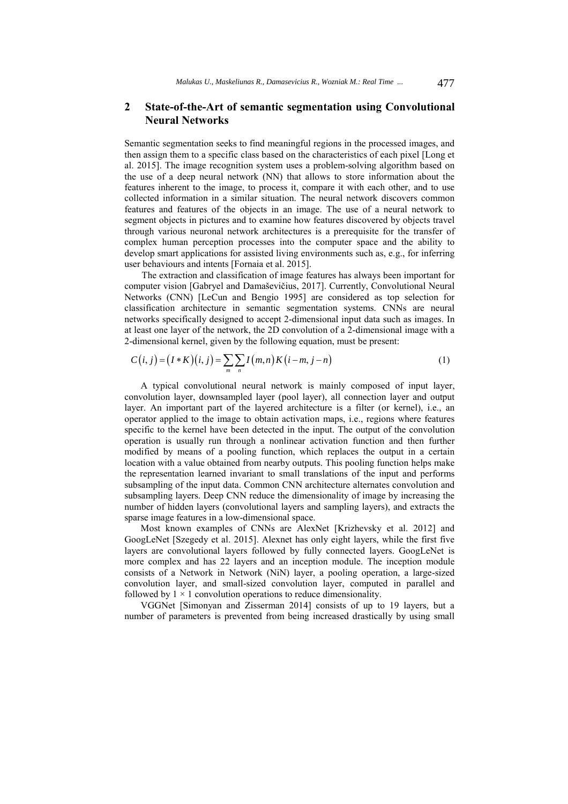## **2 State-of-the-Art of semantic segmentation using Convolutional Neural Networks**

Semantic segmentation seeks to find meaningful regions in the processed images, and then assign them to a specific class based on the characteristics of each pixel [Long et al. 2015]. The image recognition system uses a problem-solving algorithm based on the use of a deep neural network (NN) that allows to store information about the features inherent to the image, to process it, compare it with each other, and to use collected information in a similar situation. The neural network discovers common features and features of the objects in an image. The use of a neural network to segment objects in pictures and to examine how features discovered by objects travel through various neuronal network architectures is a prerequisite for the transfer of complex human perception processes into the computer space and the ability to develop smart applications for assisted living environments such as, e.g., for inferring user behaviours and intents [Fornaia et al. 2015].

The extraction and classification of image features has always been important for computer vision [Gabryel and Damaševičius, 2017]. Currently, Convolutional Neural Networks (CNN) [LeCun and Bengio 1995] are considered as top selection for classification architecture in semantic segmentation systems. CNNs are neural networks specifically designed to accept 2-dimensional input data such as images. In at least one layer of the network, the 2D convolution of a 2-dimensional image with a 2-dimensional kernel, given by the following equation, must be present:

$$
C(i, j) = (I * K)(i, j) = \sum_{m} \sum_{n} I(m, n) K(i - m, j - n)
$$
 (1)

A typical convolutional neural network is mainly composed of input layer, convolution layer, downsampled layer (pool layer), all connection layer and output layer. An important part of the layered architecture is a filter (or kernel), i.e., an operator applied to the image to obtain activation maps, i.e., regions where features specific to the kernel have been detected in the input. The output of the convolution operation is usually run through a nonlinear activation function and then further modified by means of a pooling function, which replaces the output in a certain location with a value obtained from nearby outputs. This pooling function helps make the representation learned invariant to small translations of the input and performs subsampling of the input data. Common CNN architecture alternates convolution and subsampling layers. Deep CNN reduce the dimensionality of image by increasing the number of hidden layers (convolutional layers and sampling layers), and extracts the sparse image features in a low-dimensional space.

Most known examples of CNNs are AlexNet [Krizhevsky et al. 2012] and GoogLeNet [Szegedy et al. 2015]. Alexnet has only eight layers, while the first five layers are convolutional layers followed by fully connected layers. GoogLeNet is more complex and has 22 layers and an inception module. The inception module consists of a Network in Network (NiN) layer, a pooling operation, a large-sized convolution layer, and small-sized convolution layer, computed in parallel and followed by  $1 \times 1$  convolution operations to reduce dimensionality.

VGGNet [Simonyan and Zisserman 2014] consists of up to 19 layers, but a number of parameters is prevented from being increased drastically by using small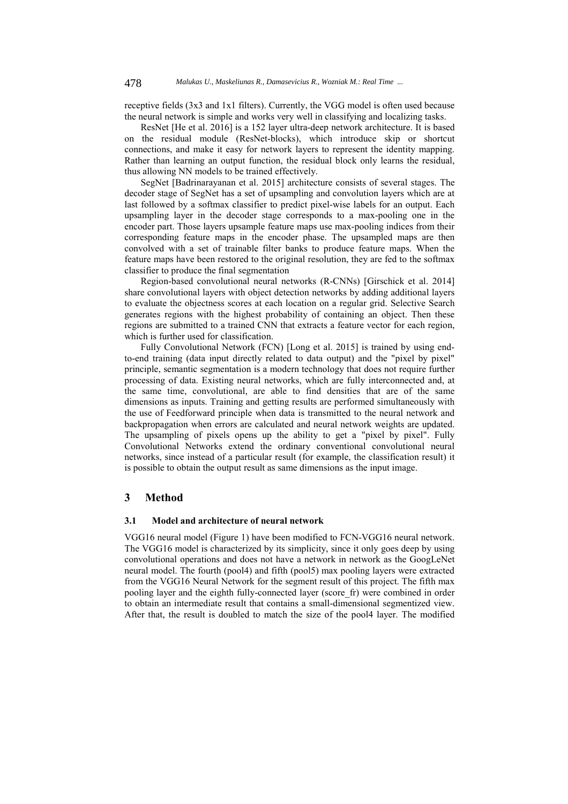receptive fields (3x3 and 1x1 filters). Currently, the VGG model is often used because the neural network is simple and works very well in classifying and localizing tasks.

ResNet [He et al. 2016] is a 152 layer ultra-deep network architecture. It is based on the residual module (ResNet-blocks), which introduce skip or shortcut connections, and make it easy for network layers to represent the identity mapping. Rather than learning an output function, the residual block only learns the residual, thus allowing NN models to be trained effectively.

SegNet [Badrinarayanan et al. 2015] architecture consists of several stages. The decoder stage of SegNet has a set of upsampling and convolution layers which are at last followed by a softmax classifier to predict pixel-wise labels for an output. Each upsampling layer in the decoder stage corresponds to a max-pooling one in the encoder part. Those layers upsample feature maps use max-pooling indices from their corresponding feature maps in the encoder phase. The upsampled maps are then convolved with a set of trainable filter banks to produce feature maps. When the feature maps have been restored to the original resolution, they are fed to the softmax classifier to produce the final segmentation

Region-based convolutional neural networks (R-CNNs) [Girschick et al. 2014] share convolutional layers with object detection networks by adding additional layers to evaluate the objectness scores at each location on a regular grid. Selective Search generates regions with the highest probability of containing an object. Then these regions are submitted to a trained CNN that extracts a feature vector for each region, which is further used for classification.

Fully Convolutional Network (FCN) [Long et al. 2015] is trained by using endto-end training (data input directly related to data output) and the "pixel by pixel" principle, semantic segmentation is a modern technology that does not require further processing of data. Existing neural networks, which are fully interconnected and, at the same time, convolutional, are able to find densities that are of the same dimensions as inputs. Training and getting results are performed simultaneously with the use of Feedforward principle when data is transmitted to the neural network and backpropagation when errors are calculated and neural network weights are updated. The upsampling of pixels opens up the ability to get a "pixel by pixel". Fully Convolutional Networks extend the ordinary conventional convolutional neural networks, since instead of a particular result (for example, the classification result) it is possible to obtain the output result as same dimensions as the input image.

## **3 Method**

### **3.1 Model and architecture of neural network**

VGG16 neural model (Figure 1) have been modified to FCN-VGG16 neural network. The VGG16 model is characterized by its simplicity, since it only goes deep by using convolutional operations and does not have a network in network as the GoogLeNet neural model. The fourth (pool4) and fifth (pool5) max pooling layers were extracted from the VGG16 Neural Network for the segment result of this project. The fifth max pooling layer and the eighth fully-connected layer (score\_fr) were combined in order to obtain an intermediate result that contains a small-dimensional segmentized view. After that, the result is doubled to match the size of the pool4 layer. The modified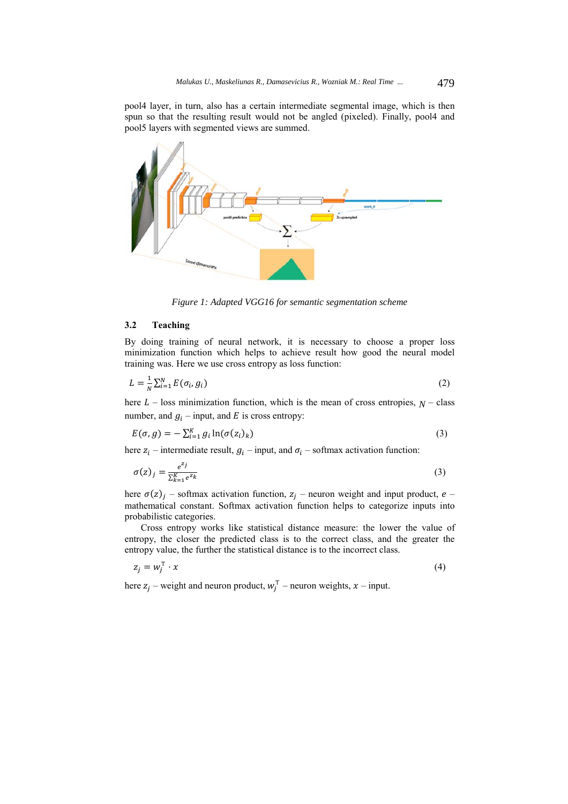pool4 layer, in turn, also has a certain intermediate segmental image, which is then spun so that the resulting result would not be angled (pixeled). Finally, pool4 and pool5 layers with segmented views are summed.



*Figure 1: Adapted VGG16 for semantic segmentation scheme* 

#### **3.2 Teaching**

By doing training of neural network, it is necessary to choose a proper loss minimization function which helps to achieve result how good the neural model training was. Here we use cross entropy as loss function:

$$
L = \frac{1}{N} \sum_{i=1}^{N} E(\sigma_i, g_i)
$$
\n<sup>(2)</sup>

here  $L$  – loss minimization function, which is the mean of cross entropies,  $N$  – class number, and  $g_i$  – input, and E is cross entropy:

$$
E(\sigma, g) = -\sum_{i=1}^{K} g_i \ln(\sigma(z_i)_k)
$$
\n(3)

here  $z_i$  – intermediate result,  $g_i$  – input, and  $\sigma_i$  – softmax activation function:

$$
\sigma(z)_j = \frac{e^{z_j}}{\sum_{k=1}^K e^{z_k}}
$$
\n(3)

here  $\sigma(z)_i$  – softmax activation function,  $z_i$  – neuron weight and input product, e – mathematical constant. Softmax activation function helps to categorize inputs into probabilistic categories.

Cross entropy works like statistical distance measure: the lower the value of entropy, the closer the predicted class is to the correct class, and the greater the entropy value, the further the statistical distance is to the incorrect class.

$$
z_j = w_j^\top \cdot x \tag{4}
$$

here  $z_j$  – weight and neuron product,  $w_j^T$  – neuron weights,  $x$  – input.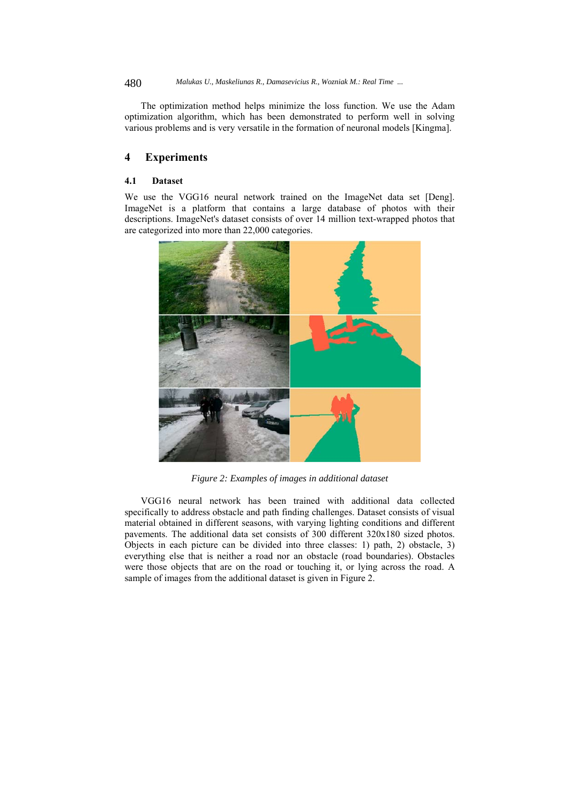480 *Malukas U., Maskeliunas R., Damasevicius R., Wozniak M.: Real Time ...*

The optimization method helps minimize the loss function. We use the Adam optimization algorithm, which has been demonstrated to perform well in solving various problems and is very versatile in the formation of neuronal models [Kingma].

## **4 Experiments**

#### **4.1 Dataset**

We use the VGG16 neural network trained on the ImageNet data set [Deng]. ImageNet is a platform that contains a large database of photos with their descriptions. ImageNet's dataset consists of over 14 million text-wrapped photos that are categorized into more than 22,000 categories.



*Figure 2: Examples of images in additional dataset* 

VGG16 neural network has been trained with additional data collected specifically to address obstacle and path finding challenges. Dataset consists of visual material obtained in different seasons, with varying lighting conditions and different pavements. The additional data set consists of 300 different 320x180 sized photos. Objects in each picture can be divided into three classes: 1) path, 2) obstacle, 3) everything else that is neither a road nor an obstacle (road boundaries). Obstacles were those objects that are on the road or touching it, or lying across the road. A sample of images from the additional dataset is given in Figure 2.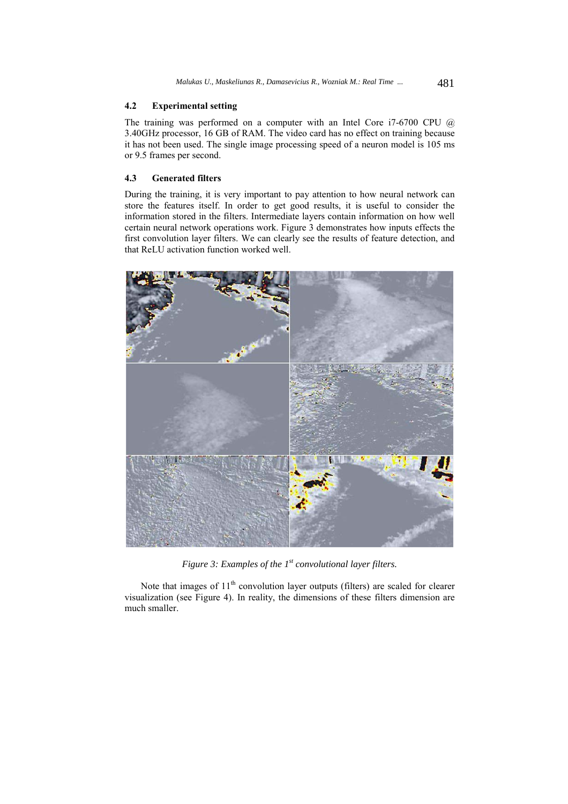#### **4.2 Experimental setting**

The training was performed on a computer with an Intel Core i7-6700 CPU @ 3.40GHz processor, 16 GB of RAM. The video card has no effect on training because it has not been used. The single image processing speed of a neuron model is 105 ms or 9.5 frames per second.

#### **4.3 Generated filters**

During the training, it is very important to pay attention to how neural network can store the features itself. In order to get good results, it is useful to consider the information stored in the filters. Intermediate layers contain information on how well certain neural network operations work. Figure 3 demonstrates how inputs effects the first convolution layer filters. We can clearly see the results of feature detection, and that ReLU activation function worked well.



*Figure 3: Examples of the 1st convolutional layer filters.* 

Note that images of  $11<sup>th</sup>$  convolution layer outputs (filters) are scaled for clearer visualization (see Figure 4). In reality, the dimensions of these filters dimension are much smaller.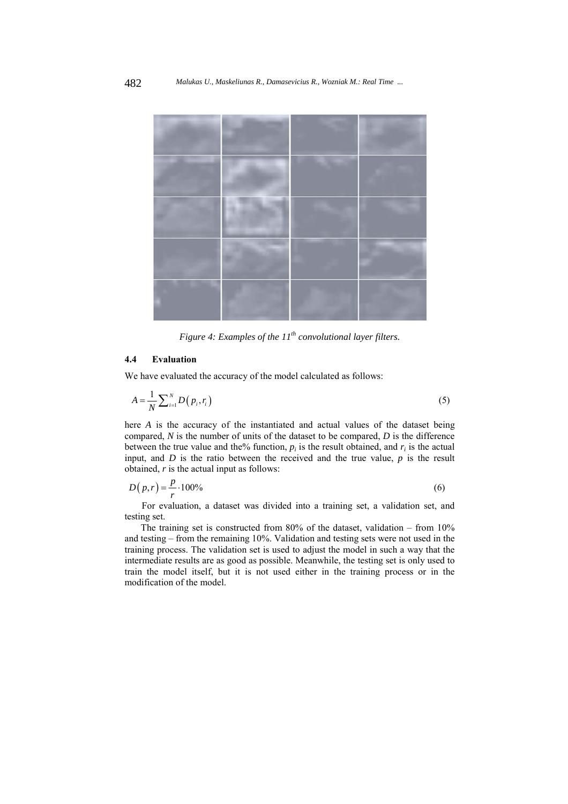

*Figure 4: Examples of the 11th convolutional layer filters.* 

### **4.4 Evaluation**

We have evaluated the accuracy of the model calculated as follows:

$$
A = \frac{1}{N} \sum_{i=1}^{N} D\left(p_i, r_i\right) \tag{5}
$$

here *A* is the accuracy of the instantiated and actual values of the dataset being compared, *N* is the number of units of the dataset to be compared, *D* is the difference between the true value and the% function,  $p_i$  is the result obtained, and  $r_i$  is the actual input, and *D* is the ratio between the received and the true value, *p* is the result obtained, *r* is the actual input as follows:

$$
D(p,r) = \frac{p}{r} \cdot 100\% \tag{6}
$$

For evaluation, a dataset was divided into a training set, a validation set, and testing set.

The training set is constructed from 80% of the dataset, validation – from 10% and testing – from the remaining 10%. Validation and testing sets were not used in the training process. The validation set is used to adjust the model in such a way that the intermediate results are as good as possible. Meanwhile, the testing set is only used to train the model itself, but it is not used either in the training process or in the modification of the model.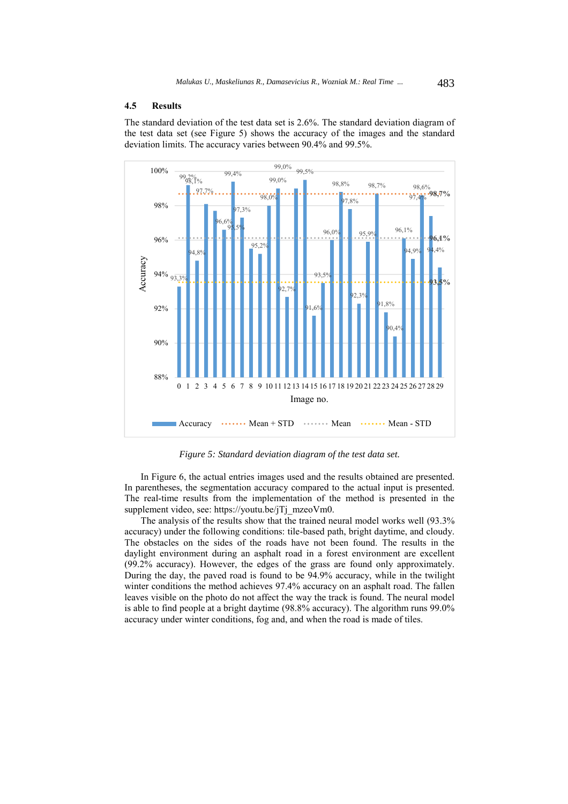#### **4.5 Results**

The standard deviation of the test data set is 2.6%. The standard deviation diagram of the test data set (see Figure 5) shows the accuracy of the images and the standard deviation limits. The accuracy varies between 90.4% and 99.5%.



*Figure 5: Standard deviation diagram of the test data set.* 

In Figure 6, the actual entries images used and the results obtained are presented. In parentheses, the segmentation accuracy compared to the actual input is presented. The real-time results from the implementation of the method is presented in the supplement video, see: https://youtu.be/jTj\_mzeoVm0.

The analysis of the results show that the trained neural model works well (93.3% accuracy) under the following conditions: tile-based path, bright daytime, and cloudy. The obstacles on the sides of the roads have not been found. The results in the daylight environment during an asphalt road in a forest environment are excellent (99.2% accuracy). However, the edges of the grass are found only approximately. During the day, the paved road is found to be 94.9% accuracy, while in the twilight winter conditions the method achieves 97.4% accuracy on an asphalt road. The fallen leaves visible on the photo do not affect the way the track is found. The neural model is able to find people at a bright daytime (98.8% accuracy). The algorithm runs 99.0% accuracy under winter conditions, fog and, and when the road is made of tiles.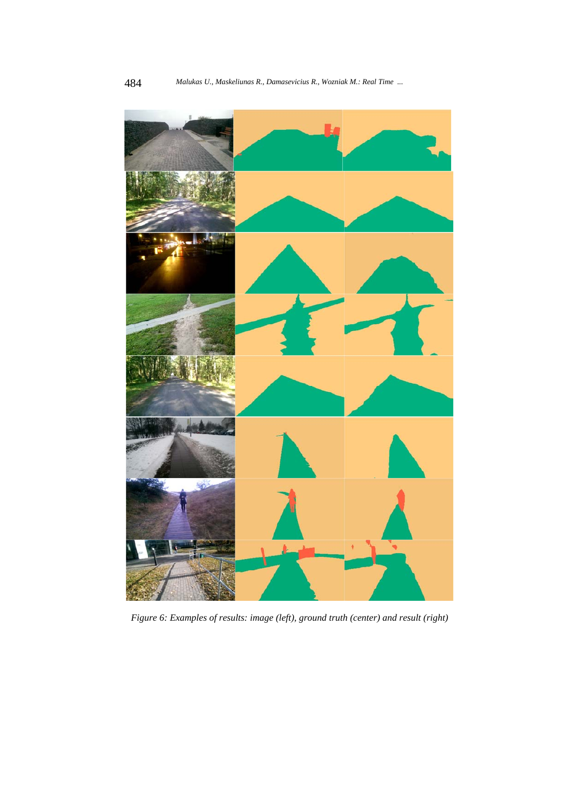

*Figure 6: Examples of results: image (left), ground truth (center) and result (right)*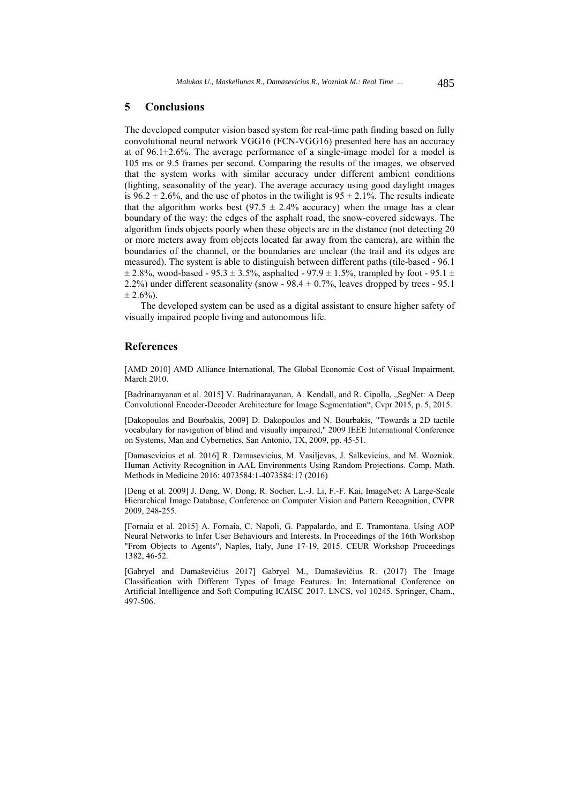#### **5 Conclusions**

The developed computer vision based system for real-time path finding based on fully convolutional neural network VGG16 (FCN-VGG16) presented here has an accuracy at of  $96.1\pm2.6\%$ . The average performance of a single-image model for a model is 105 ms or 9.5 frames per second. Comparing the results of the images, we observed that the system works with similar accuracy under different ambient conditions (lighting, seasonality of the year). The average accuracy using good daylight images is 96.2  $\pm$  2.6%, and the use of photos in the twilight is 95  $\pm$  2.1%. The results indicate that the algorithm works best (97.5  $\pm$  2.4% accuracy) when the image has a clear boundary of the way: the edges of the asphalt road, the snow-covered sideways. The algorithm finds objects poorly when these objects are in the distance (not detecting 20 or more meters away from objects located far away from the camera), are within the boundaries of the channel, or the boundaries are unclear (the trail and its edges are measured). The system is able to distinguish between different paths (tile-based - 96.1  $\pm$  2.8%, wood-based - 95.3  $\pm$  3.5%, asphalted - 97.9  $\pm$  1.5%, trampled by foot - 95.1  $\pm$ 2.2%) under different seasonality (snow -  $98.4 \pm 0.7$ %, leaves dropped by trees - 95.1  $\pm 2.6\%$ ).

The developed system can be used as a digital assistant to ensure higher safety of visually impaired people living and autonomous life.

#### **References**

[AMD 2010] AMD Alliance International, The Global Economic Cost of Visual Impairment, March 2010.

[Badrinarayanan et al. 2015] V. Badrinarayanan, A. Kendall, and R. Cipolla, ..SegNet: A Deep Convolutional Encoder-Decoder Architecture for Image Segmentation", Cvpr 2015, p. 5, 2015.

[Dakopoulos and Bourbakis, 2009] D. Dakopoulos and N. Bourbakis, "Towards a 2D tactile vocabulary for navigation of blind and visually impaired," 2009 IEEE International Conference on Systems, Man and Cybernetics, San Antonio, TX, 2009, pp. 45-51.

[Damasevicius et al. 2016] R. Damasevicius, M. Vasiljevas, J. Salkevicius, and M. Wozniak. Human Activity Recognition in AAL Environments Using Random Projections. Comp. Math. Methods in Medicine 2016: 4073584:1-4073584:17 (2016)

[Deng et al. 2009] J. Deng, W. Dong, R. Socher, L.-J. Li, F.-F. Kai, ImageNet: A Large-Scale Hierarchical Image Database, Conference on Computer Vision and Pattern Recognition, CVPR 2009, 248-255.

[Fornaia et al. 2015] A. Fornaia, C. Napoli, G. Pappalardo, and E. Tramontana. Using AOP Neural Networks to Infer User Behaviours and Interests. In Proceedings of the 16th Workshop "From Objects to Agents", Naples, Italy, June 17-19, 2015. CEUR Workshop Proceedings 1382, 46-52.

[Gabryel and Damaševičius 2017] Gabryel M., Damaševičius R. (2017) The Image Classification with Different Types of Image Features. In: International Conference on Artificial Intelligence and Soft Computing ICAISC 2017. LNCS, vol 10245. Springer, Cham., 497-506.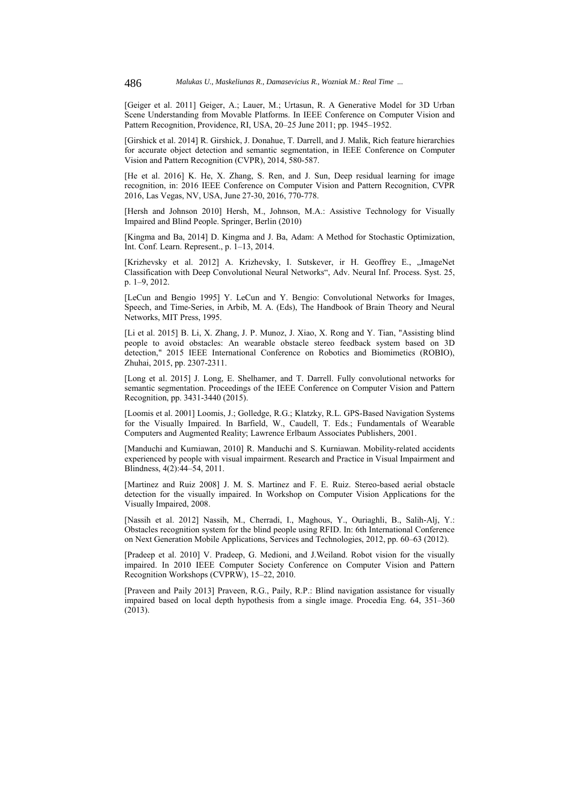[Geiger et al. 2011] Geiger, A.; Lauer, M.; Urtasun, R. A Generative Model for 3D Urban Scene Understanding from Movable Platforms. In IEEE Conference on Computer Vision and Pattern Recognition, Providence, RI, USA, 20–25 June 2011; pp. 1945–1952.

[Girshick et al. 2014] R. Girshick, J. Donahue, T. Darrell, and J. Malik, Rich feature hierarchies for accurate object detection and semantic segmentation, in IEEE Conference on Computer Vision and Pattern Recognition (CVPR), 2014, 580-587.

[He et al. 2016] K. He, X. Zhang, S. Ren, and J. Sun, Deep residual learning for image recognition, in: 2016 IEEE Conference on Computer Vision and Pattern Recognition, CVPR 2016, Las Vegas, NV, USA, June 27-30, 2016, 770-778.

[Hersh and Johnson 2010] Hersh, M., Johnson, M.A.: Assistive Technology for Visually Impaired and Blind People. Springer, Berlin (2010)

[Kingma and Ba, 2014] D. Kingma and J. Ba, Adam: A Method for Stochastic Optimization, Int. Conf. Learn. Represent., p. 1–13, 2014.

[Krizhevsky et al. 2012] A. Krizhevsky, I. Sutskever, ir H. Geoffrey E., "ImageNet Classification with Deep Convolutional Neural Networks", Adv. Neural Inf. Process. Syst. 25, p. 1–9, 2012.

[LeCun and Bengio 1995] Y. LeCun and Y. Bengio: Convolutional Networks for Images, Speech, and Time-Series, in Arbib, M. A. (Eds), The Handbook of Brain Theory and Neural Networks, MIT Press, 1995.

[Li et al. 2015] B. Li, X. Zhang, J. P. Munoz, J. Xiao, X. Rong and Y. Tian, "Assisting blind people to avoid obstacles: An wearable obstacle stereo feedback system based on 3D detection," 2015 IEEE International Conference on Robotics and Biomimetics (ROBIO), Zhuhai, 2015, pp. 2307-2311.

[Long et al. 2015] J. Long, E. Shelhamer, and T. Darrell. Fully convolutional networks for semantic segmentation. Proceedings of the IEEE Conference on Computer Vision and Pattern Recognition, pp. 3431-3440 (2015).

[Loomis et al. 2001] Loomis, J.; Golledge, R.G.; Klatzky, R.L. GPS-Based Navigation Systems for the Visually Impaired. In Barfield, W., Caudell, T. Eds.; Fundamentals of Wearable Computers and Augmented Reality; Lawrence Erlbaum Associates Publishers, 2001.

[Manduchi and Kurniawan, 2010] R. Manduchi and S. Kurniawan. Mobility-related accidents experienced by people with visual impairment. Research and Practice in Visual Impairment and Blindness, 4(2):44–54, 2011.

[Martinez and Ruiz 2008] J. M. S. Martinez and F. E. Ruiz. Stereo-based aerial obstacle detection for the visually impaired. In Workshop on Computer Vision Applications for the Visually Impaired, 2008.

[Nassih et al. 2012] Nassih, M., Cherradi, I., Maghous, Y., Ouriaghli, B., Salih-Alj, Y.: Obstacles recognition system for the blind people using RFID. In: 6th International Conference on Next Generation Mobile Applications, Services and Technologies, 2012, pp. 60–63 (2012).

[Pradeep et al. 2010] V. Pradeep, G. Medioni, and J.Weiland. Robot vision for the visually impaired. In 2010 IEEE Computer Society Conference on Computer Vision and Pattern Recognition Workshops (CVPRW), 15–22, 2010.

[Praveen and Paily 2013] Praveen, R.G., Paily, R.P.: Blind navigation assistance for visually impaired based on local depth hypothesis from a single image. Procedia Eng. 64, 351–360  $(2013)$